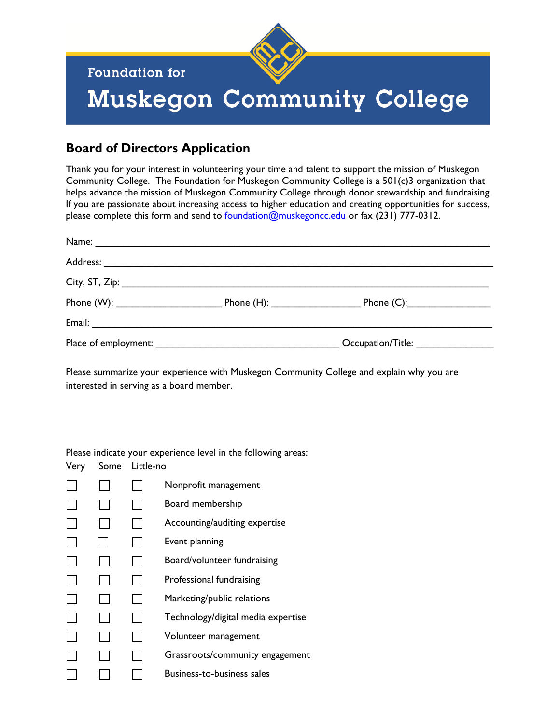

**Foundation for** 

## Muskegon Community College

## **Board of Directors Application**

Thank you for your interest in volunteering your time and talent to support the mission of Muskegon Community College. The Foundation for Muskegon Community College is a 501(c)3 organization that helps advance the mission of Muskegon Community College through donor stewardship and fundraising. If you are passionate about increasing access to higher education and creating opportunities for success, please complete this form and send to <u>foundation@muskegoncc.edu</u> or fax (231) 777-0312.

|  | Occupation/Title: |  |
|--|-------------------|--|

Please summarize your experience with Muskegon Community College and explain why you are interested in serving as a board member.

Please indicate your experience level in the following areas:

| Very | Some | Little-no |                                    |
|------|------|-----------|------------------------------------|
|      |      |           | Nonprofit management               |
|      |      |           | Board membership                   |
|      |      |           | Accounting/auditing expertise      |
|      |      |           | Event planning                     |
|      |      |           | Board/volunteer fundraising        |
|      |      |           | Professional fundraising           |
|      |      |           | Marketing/public relations         |
|      |      |           | Technology/digital media expertise |
|      |      |           | Volunteer management               |
|      |      |           | Grassroots/community engagement    |
|      |      |           | <b>Business-to-business sales</b>  |